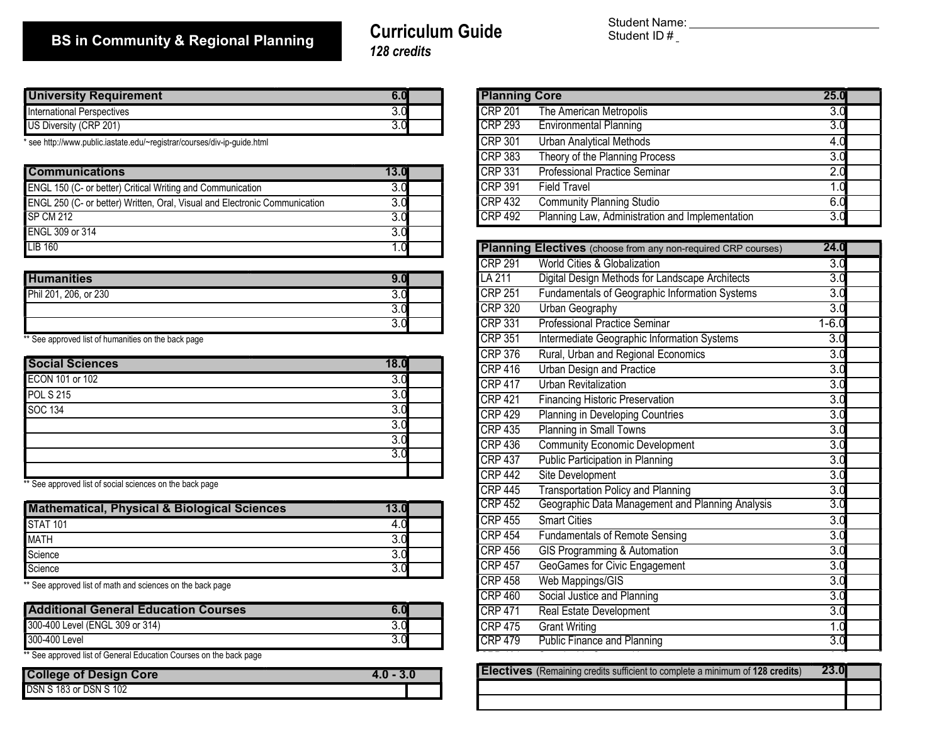## BS in Community & Regional Planning

### Curriculum Guide 128 credits

Student Name: Student ID #

| University Requirement            | v.u      |                      | <b>IPlanning</b><br>Core |  |
|-----------------------------------|----------|----------------------|--------------------------|--|
| <b>International Perspectives</b> | J.U      | ICRP 20 <sup>4</sup> | The American Met         |  |
| US Diversity (CRP 201)            | -<br>v.u | CRP293               | <b>Environmental Pla</b> |  |

\* see http://www.public.iastate.edu/~registrar/courses/div-ip-guide.html

| <b>Communications</b>                                                      | 13.0 | $CRP$ 331          | <b>Professional Pract</b>        |
|----------------------------------------------------------------------------|------|--------------------|----------------------------------|
| ENGL 150 (C- or better) Critical Writing and Communication                 | 3.0  | <b>CRP 391</b>     | <b>Field Travel</b>              |
| ENGL 250 (C- or better) Written, Oral, Visual and Electronic Communication | 3.0  | CRP <sub>432</sub> | <b>Community Planni</b>          |
| <b>SP CM 212</b>                                                           |      | ICRP 492           | Planning Law, Adr                |
| ENGL 309 or 314                                                            |      |                    |                                  |
| <b>LIB 160</b>                                                             |      |                    | <b>Planning Electives (choos</b> |

| <b>Humanities</b>     | ิ ม.น | <b>ILA 211</b> | Digital Design Met        |
|-----------------------|-------|----------------|---------------------------|
| Phil 201, 206, or 230 | J.U   | <b>CRP 251</b> | Fundamentals of 0         |
|                       | J.U   | CRP 320        | Urban Geography           |
|                       | J.U   | <b>CRP 331</b> | <b>Professional Pract</b> |
|                       |       |                |                           |

\*\* See approved list of humanities on the back page

|                        |      | יטוש וויט∎         | nural, Olban and I          |
|------------------------|------|--------------------|-----------------------------|
| <b>Social Sciences</b> | 18.0 | CRP <sub>416</sub> | Urban Design and            |
| ECON 101 or 102        | 3.0  | CRP <sub>417</sub> | Urban Revitalizatio         |
| <b>POL S 215</b>       | 3.0  | CRP <sub>421</sub> | <b>Financing Historic</b>   |
| SOC 134                | 3.0  | CRP <sub>429</sub> | Planning in Develo          |
|                        | 3.0  | <b>CRP 435</b>     | Planning in Small           |
|                        | 3.0  | CRP <sub>436</sub> | <b>Community Econd</b>      |
|                        | 3.0  | CRP 437            | <b>Public Participation</b> |
|                        |      | CRP 442            | Site Development            |

\*\* See approved list of social sciences on the back page

| <b>Mathematical, Physical &amp; Biological Sciences</b> | 13.0 | ICRP 452  | Geographic Data I   |
|---------------------------------------------------------|------|-----------|---------------------|
| <b>STAT 101</b>                                         | 4.U  | $CRP$ 455 | <b>Smart Cities</b> |
| <b>MATH</b>                                             |      | ICRP454   | Fundamentals of F   |
| Science                                                 |      | ICRP 456  | GIS Programming     |
| Science                                                 |      | ICRP 457  | GeoGames for Civ    |
|                                                         |      | .         | $\sim$<br>.         |

\*\* See approved list of math and sciences on the back page

| <b>Additional General Education Courses</b>                        | ICRP 47'   | <b>Real Estate Devel</b> |
|--------------------------------------------------------------------|------------|--------------------------|
| 300-400 Level (ENGL 309 or 314)                                    | ICRP475    | <b>Grant Writing</b>     |
| 300-400 Level                                                      | $ICRP$ 479 | Public Finance and       |
| ** Coo approved list of Coneral Education Courses on the book nego |            |                          |

See approved list of General Education Courses on the back page

| <b>College of Design Core</b> | $4.0 - 3.0$ |
|-------------------------------|-------------|
| DSN S 183 or DSN S 102        |             |

| <b>Planning Core</b> |                                                 | 25.0 |  |
|----------------------|-------------------------------------------------|------|--|
| <b>CRP 201</b>       | The American Metropolis                         | 3.0  |  |
| CRP 293              | <b>Environmental Planning</b>                   | 3.0  |  |
| <b>CRP 301</b>       | <b>Urban Analytical Methods</b>                 | 4.0  |  |
| <b>CRP 383</b>       | Theory of the Planning Process                  | 3.0  |  |
| <b>CRP 331</b>       | <b>Professional Practice Seminar</b>            | 2.0  |  |
| <b>CRP 391</b>       | <b>Field Travel</b>                             |      |  |
| <b>CRP 432</b>       | <b>Community Planning Studio</b>                | 6.0  |  |
| <b>CRP 492</b>       | Planning Law, Administration and Implementation | 3.0  |  |

|                                      | Planning Electives (choose from any non-required CRP courses)      | 24.0             |
|--------------------------------------|--------------------------------------------------------------------|------------------|
|                                      | <b>CRP 291</b><br>World Cities & Globalization                     | $\overline{3.0}$ |
| 9.0                                  | Digital Design Methods for Landscape Architects<br>LA 211          | 3.0              |
| $\overline{3.0}$                     | <b>CRP 251</b><br>Fundamentals of Geographic Information Systems   | 3.0              |
| $\overline{3.0}$                     | <b>Urban Geography</b><br><b>CRP 320</b>                           | 3.0              |
| $\overline{3.0}$                     | <b>Professional Practice Seminar</b><br><b>CRP 331</b>             | $1 - 6.0$        |
|                                      | <b>CRP 351</b><br>Intermediate Geographic Information Systems      | $\overline{3.0}$ |
| 8.0                                  | <b>CRP 376</b><br>Rural, Urban and Regional Economics              | 3.0              |
| $\overline{3.0}$                     | <b>CRP 416</b><br><b>Urban Design and Practice</b>                 | 3.0              |
|                                      | <b>CRP 417</b><br><b>Urban Revitalization</b>                      | 3.0              |
| $\overline{3.0}$<br>$\overline{3.0}$ | <b>CRP 421</b><br><b>Financing Historic Preservation</b>           | 3.0              |
| $\overline{3.0}$                     | CRP429<br><b>Planning in Developing Countries</b>                  | $\overline{3.0}$ |
|                                      | Planning in Small Towns<br><b>CRP 435</b>                          | $\overline{3.0}$ |
| $\overline{3.0}$                     | <b>Community Economic Development</b><br><b>CRP 436</b>            | 3.0              |
|                                      | Public Participation in Planning<br><b>CRP 437</b>                 | 3.0              |
|                                      | <b>CRP 442</b><br>Site Development                                 | 3.0              |
|                                      | <b>Transportation Policy and Planning</b><br><b>CRP 445</b>        | $\overline{3.0}$ |
|                                      | <b>CRP 452</b><br>Geographic Data Management and Planning Analysis | 3.0              |
|                                      | <b>CRP 455</b><br><b>Smart Cities</b>                              | 3.0              |
|                                      | <b>CRP 454</b><br><b>Fundamentals of Remote Sensing</b>            | 3.0              |
|                                      | <b>CRP 456</b><br>GIS Programming & Automation                     | 3.0              |
|                                      | <b>GeoGames for Civic Engagement</b><br><b>CRP 457</b>             | 3.0              |
|                                      | Web Mappings/GIS<br><b>CRP 458</b>                                 | 3.0              |
|                                      | Social Justice and Planning<br><b>CRP 460</b>                      | 3.0              |
| $6.0\,$                              | <b>CRP 471</b><br>Real Estate Development                          | $\overline{3.0}$ |
| $3.0\,$                              | <b>CRP 475</b><br><b>Grant Writing</b>                             | 1.0              |
| $\overline{3.0}$                     | <b>Public Finance and Planning</b><br><b>CRP 479</b>               | 3.0              |

| <b>Electives</b> (Remaining credits sufficient to complete a minimum of 128 credits) | 23.0 |  |
|--------------------------------------------------------------------------------------|------|--|
|                                                                                      |      |  |
|                                                                                      |      |  |